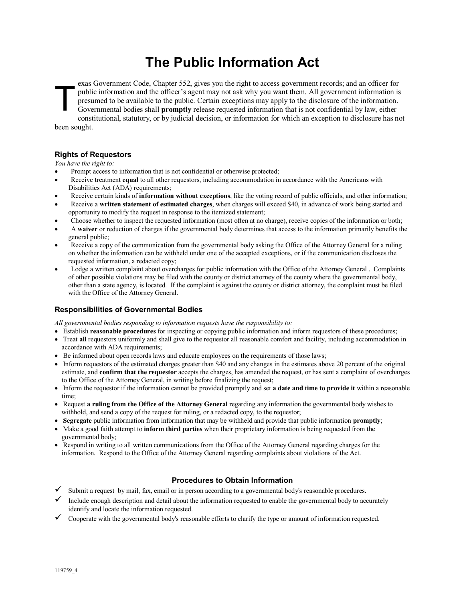# **The Public Information Act**

exas Government Code, Chapter 552, gives you the right to access government records; and an officer for public information and the officer's agent may not ask why you want them. All government information is presumed to be available to the public. Certain exceptions may apply to the disclosure of the information. Governmental bodies shall **promptly** release requested information that is not confidential by law, either constitutional, statutory, or by judicial decision, or information for which an exception to disclosure has not been sought. T

## **Rights of Requestors**

*You have the right to:*

- Prompt access to information that is not confidential or otherwise protected;
- Receive treatment **equal** to all other requestors, including accommodation in accordance with the Americans with Disabilities Act (ADA) requirements;
- x Receive certain kinds of **information without exceptions**, like the voting record of public officials, and other information;
- x Receive a **written statement of estimated charges**, when charges will exceed \$40, in advance of work being started and opportunity to modify the request in response to the itemized statement;
- x Choose whether to inspect the requested information (most often at no charge), receive copies of the information or both;
- x A **waiver** or reduction of charges if the governmental body determines that access to the information primarily benefits the general public;
- Receive a copy of the communication from the governmental body asking the Office of the Attorney General for a ruling on whether the information can be withheld under one of the accepted exceptions, or if the communication discloses the requested information, a redacted copy;
- Lodge a written complaint about overcharges for public information with the Office of the Attorney General . Complaints of other possible violations may be filed with the county or district attorney of the county where the governmental body, other than a state agency, is located. If the complaint is against the county or district attorney, the complaint must be filed with the Office of the Attorney General.

## **Responsibilities of Governmental Bodies**

*All governmental bodies responding to information requests have the responsibility to:*

- x Establish **reasonable procedures** for inspecting or copying public information and inform requestors of these procedures;
- Treat **all** requestors uniformly and shall give to the requestor all reasonable comfort and facility, including accommodation in accordance with ADA requirements;
- Be informed about open records laws and educate employees on the requirements of those laws;
- Inform requestors of the estimated charges greater than \$40 and any changes in the estimates above 20 percent of the original estimate, and **confirm that the requestor** accepts the charges, has amended the request, or has sent a complaint of overcharges to the Office of the Attorney General, in writing before finalizing the request;
- x Inform the requestor if the information cannot be provided promptly and set **a date and time to provide it** within a reasonable time;
- x Request **a ruling from the Office of the Attorney General** regarding any information the governmental body wishes to withhold, and send a copy of the request for ruling, or a redacted copy, to the requestor;
- x **Segregate** public information from information that may be withheld and provide that public information **promptly**;
- x Make a good faith attempt to **inform third parties** when their proprietary information is being requested from the governmental body;
- Respond in writing to all written communications from the Office of the Attorney General regarding charges for the information. Respond to the Office of the Attorney General regarding complaints about violations of the Act.

## **Procedures to Obtain Information**

- Submit a request by mail, fax, email or in person according to a governmental body's reasonable procedures.
- Include enough description and detail about the information requested to enable the governmental body to accurately identify and locate the information requested.
- $\checkmark$  Cooperate with the governmental body's reasonable efforts to clarify the type or amount of information requested.